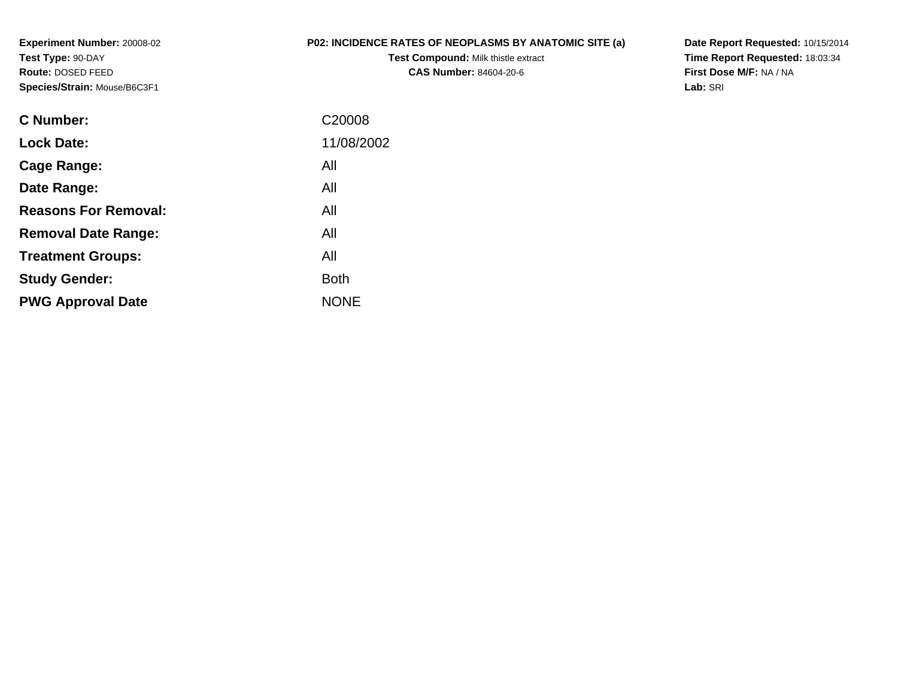**Experiment Number:** 20008-02**Test Type:** 90-DAY **Route:** DOSED FEED**Species/Strain:** Mouse/B6C3F1

## **P02: INCIDENCE RATES OF NEOPLASMS BY ANATOMIC SITE (a)**

**Test Compound:** Milk thistle extract**CAS Number:** 84604-20-6

**Date Report Requested:** 10/15/2014**Time Report Requested:** 18:03:34**First Dose M/F:** NA / NA**Lab:** SRI

| C Number:                   | C20008      |
|-----------------------------|-------------|
| <b>Lock Date:</b>           | 11/08/2002  |
| Cage Range:                 | All         |
| Date Range:                 | All         |
| <b>Reasons For Removal:</b> | All         |
| <b>Removal Date Range:</b>  | All         |
| <b>Treatment Groups:</b>    | All         |
| <b>Study Gender:</b>        | <b>Both</b> |
| <b>PWG Approval Date</b>    | <b>NONE</b> |
|                             |             |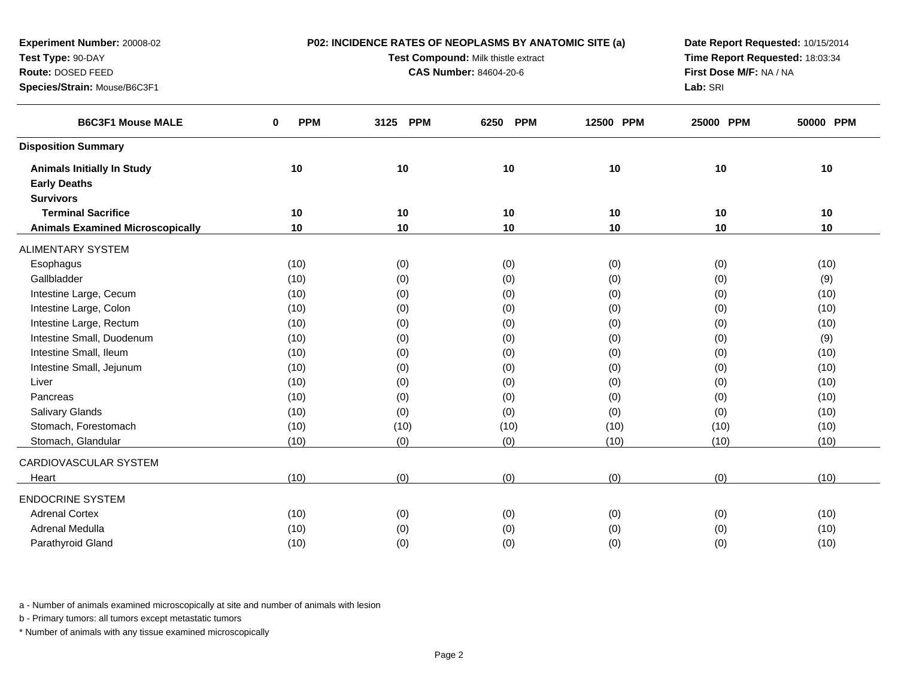| Time Report Requested: 18:03:34<br>Test Type: 90-DAY<br>Test Compound: Milk thistle extract<br>First Dose M/F: NA / NA<br>Route: DOSED FEED<br><b>CAS Number: 84604-20-6</b><br>Lab: SRI<br>Species/Strain: Mouse/B6C3F1<br><b>B6C3F1 Mouse MALE</b><br><b>PPM</b><br><b>PPM</b><br>12500 PPM<br>50000 PPM<br>3125<br>6250<br><b>PPM</b><br>25000 PPM<br>0<br><b>Disposition Summary</b><br>10<br>10<br>10<br>10<br>10<br>10<br><b>Animals Initially In Study</b><br><b>Early Deaths</b><br><b>Survivors</b><br><b>Terminal Sacrifice</b><br>10<br>10<br>10<br>10<br>10<br>10<br>10<br>10<br>10<br>10<br>10<br>10<br><b>Animals Examined Microscopically</b><br><b>ALIMENTARY SYSTEM</b><br>(0)<br>(0)<br>(10)<br>(0)<br>(0)<br>(10)<br>Esophagus<br>Gallbladder<br>(10)<br>(0)<br>(0)<br>(0)<br>(0)<br>(9)<br>Intestine Large, Cecum<br>(10)<br>(0)<br>(0)<br>(0)<br>(10)<br>(0)<br>Intestine Large, Colon<br>(10)<br>(0)<br>(0)<br>(0)<br>(0)<br>(10)<br>Intestine Large, Rectum<br>(0)<br>(0)<br>(10)<br>(10)<br>(0)<br>(0)<br>Intestine Small, Duodenum<br>(0)<br>(0)<br>(10)<br>(0)<br>(0)<br>(9)<br>Intestine Small, Ileum<br>(0)<br>(0)<br>(10)<br>(0)<br>(0)<br>(10)<br>Intestine Small, Jejunum<br>(0)<br>(10)<br>(0)<br>(0)<br>(10)<br>(0)<br>(0)<br>(0)<br>Liver<br>(10)<br>(0)<br>(0)<br>(10)<br>(0)<br>(0)<br>(0)<br>(10)<br>Pancreas<br>(10)<br>(0)<br><b>Salivary Glands</b><br>(10)<br>(0)<br>(0)<br>(0)<br>(0)<br>(10)<br>Stomach, Forestomach<br>(10)<br>(10)<br>(10)<br>(10)<br>(10)<br>(10)<br>Stomach, Glandular<br>(10)<br>(0)<br>(0)<br>(10)<br>(10)<br>(10)<br>CARDIOVASCULAR SYSTEM<br>(0)<br>(0)<br>(0)<br>(10)<br>(0)<br>(10)<br>Heart<br><b>ENDOCRINE SYSTEM</b><br><b>Adrenal Cortex</b><br>(10)<br>(0)<br>(0)<br>(0)<br>(0)<br>(10)<br>Adrenal Medulla<br>(10)<br>(0)<br>(0)<br>(0)<br>(0)<br>(10)<br>Parathyroid Gland<br>(10)<br>(0)<br>(0)<br>(0)<br>(0)<br>(10) | Experiment Number: 20008-02 | P02: INCIDENCE RATES OF NEOPLASMS BY ANATOMIC SITE (a) | Date Report Requested: 10/15/2014 |  |  |  |  |
|---------------------------------------------------------------------------------------------------------------------------------------------------------------------------------------------------------------------------------------------------------------------------------------------------------------------------------------------------------------------------------------------------------------------------------------------------------------------------------------------------------------------------------------------------------------------------------------------------------------------------------------------------------------------------------------------------------------------------------------------------------------------------------------------------------------------------------------------------------------------------------------------------------------------------------------------------------------------------------------------------------------------------------------------------------------------------------------------------------------------------------------------------------------------------------------------------------------------------------------------------------------------------------------------------------------------------------------------------------------------------------------------------------------------------------------------------------------------------------------------------------------------------------------------------------------------------------------------------------------------------------------------------------------------------------------------------------------------------------------------------------------------------------------------------------------------------------------------------------------------------------------------------|-----------------------------|--------------------------------------------------------|-----------------------------------|--|--|--|--|
|                                                                                                                                                                                                                                                                                                                                                                                                                                                                                                                                                                                                                                                                                                                                                                                                                                                                                                                                                                                                                                                                                                                                                                                                                                                                                                                                                                                                                                                                                                                                                                                                                                                                                                                                                                                                                                                                                                   |                             |                                                        |                                   |  |  |  |  |
|                                                                                                                                                                                                                                                                                                                                                                                                                                                                                                                                                                                                                                                                                                                                                                                                                                                                                                                                                                                                                                                                                                                                                                                                                                                                                                                                                                                                                                                                                                                                                                                                                                                                                                                                                                                                                                                                                                   |                             |                                                        |                                   |  |  |  |  |
|                                                                                                                                                                                                                                                                                                                                                                                                                                                                                                                                                                                                                                                                                                                                                                                                                                                                                                                                                                                                                                                                                                                                                                                                                                                                                                                                                                                                                                                                                                                                                                                                                                                                                                                                                                                                                                                                                                   |                             |                                                        |                                   |  |  |  |  |
|                                                                                                                                                                                                                                                                                                                                                                                                                                                                                                                                                                                                                                                                                                                                                                                                                                                                                                                                                                                                                                                                                                                                                                                                                                                                                                                                                                                                                                                                                                                                                                                                                                                                                                                                                                                                                                                                                                   |                             |                                                        |                                   |  |  |  |  |
|                                                                                                                                                                                                                                                                                                                                                                                                                                                                                                                                                                                                                                                                                                                                                                                                                                                                                                                                                                                                                                                                                                                                                                                                                                                                                                                                                                                                                                                                                                                                                                                                                                                                                                                                                                                                                                                                                                   |                             |                                                        |                                   |  |  |  |  |
|                                                                                                                                                                                                                                                                                                                                                                                                                                                                                                                                                                                                                                                                                                                                                                                                                                                                                                                                                                                                                                                                                                                                                                                                                                                                                                                                                                                                                                                                                                                                                                                                                                                                                                                                                                                                                                                                                                   |                             |                                                        |                                   |  |  |  |  |
|                                                                                                                                                                                                                                                                                                                                                                                                                                                                                                                                                                                                                                                                                                                                                                                                                                                                                                                                                                                                                                                                                                                                                                                                                                                                                                                                                                                                                                                                                                                                                                                                                                                                                                                                                                                                                                                                                                   |                             |                                                        |                                   |  |  |  |  |
|                                                                                                                                                                                                                                                                                                                                                                                                                                                                                                                                                                                                                                                                                                                                                                                                                                                                                                                                                                                                                                                                                                                                                                                                                                                                                                                                                                                                                                                                                                                                                                                                                                                                                                                                                                                                                                                                                                   |                             |                                                        |                                   |  |  |  |  |
|                                                                                                                                                                                                                                                                                                                                                                                                                                                                                                                                                                                                                                                                                                                                                                                                                                                                                                                                                                                                                                                                                                                                                                                                                                                                                                                                                                                                                                                                                                                                                                                                                                                                                                                                                                                                                                                                                                   |                             |                                                        |                                   |  |  |  |  |
|                                                                                                                                                                                                                                                                                                                                                                                                                                                                                                                                                                                                                                                                                                                                                                                                                                                                                                                                                                                                                                                                                                                                                                                                                                                                                                                                                                                                                                                                                                                                                                                                                                                                                                                                                                                                                                                                                                   |                             |                                                        |                                   |  |  |  |  |
|                                                                                                                                                                                                                                                                                                                                                                                                                                                                                                                                                                                                                                                                                                                                                                                                                                                                                                                                                                                                                                                                                                                                                                                                                                                                                                                                                                                                                                                                                                                                                                                                                                                                                                                                                                                                                                                                                                   |                             |                                                        |                                   |  |  |  |  |
|                                                                                                                                                                                                                                                                                                                                                                                                                                                                                                                                                                                                                                                                                                                                                                                                                                                                                                                                                                                                                                                                                                                                                                                                                                                                                                                                                                                                                                                                                                                                                                                                                                                                                                                                                                                                                                                                                                   |                             |                                                        |                                   |  |  |  |  |
|                                                                                                                                                                                                                                                                                                                                                                                                                                                                                                                                                                                                                                                                                                                                                                                                                                                                                                                                                                                                                                                                                                                                                                                                                                                                                                                                                                                                                                                                                                                                                                                                                                                                                                                                                                                                                                                                                                   |                             |                                                        |                                   |  |  |  |  |
|                                                                                                                                                                                                                                                                                                                                                                                                                                                                                                                                                                                                                                                                                                                                                                                                                                                                                                                                                                                                                                                                                                                                                                                                                                                                                                                                                                                                                                                                                                                                                                                                                                                                                                                                                                                                                                                                                                   |                             |                                                        |                                   |  |  |  |  |
|                                                                                                                                                                                                                                                                                                                                                                                                                                                                                                                                                                                                                                                                                                                                                                                                                                                                                                                                                                                                                                                                                                                                                                                                                                                                                                                                                                                                                                                                                                                                                                                                                                                                                                                                                                                                                                                                                                   |                             |                                                        |                                   |  |  |  |  |
|                                                                                                                                                                                                                                                                                                                                                                                                                                                                                                                                                                                                                                                                                                                                                                                                                                                                                                                                                                                                                                                                                                                                                                                                                                                                                                                                                                                                                                                                                                                                                                                                                                                                                                                                                                                                                                                                                                   |                             |                                                        |                                   |  |  |  |  |
|                                                                                                                                                                                                                                                                                                                                                                                                                                                                                                                                                                                                                                                                                                                                                                                                                                                                                                                                                                                                                                                                                                                                                                                                                                                                                                                                                                                                                                                                                                                                                                                                                                                                                                                                                                                                                                                                                                   |                             |                                                        |                                   |  |  |  |  |
|                                                                                                                                                                                                                                                                                                                                                                                                                                                                                                                                                                                                                                                                                                                                                                                                                                                                                                                                                                                                                                                                                                                                                                                                                                                                                                                                                                                                                                                                                                                                                                                                                                                                                                                                                                                                                                                                                                   |                             |                                                        |                                   |  |  |  |  |
|                                                                                                                                                                                                                                                                                                                                                                                                                                                                                                                                                                                                                                                                                                                                                                                                                                                                                                                                                                                                                                                                                                                                                                                                                                                                                                                                                                                                                                                                                                                                                                                                                                                                                                                                                                                                                                                                                                   |                             |                                                        |                                   |  |  |  |  |
|                                                                                                                                                                                                                                                                                                                                                                                                                                                                                                                                                                                                                                                                                                                                                                                                                                                                                                                                                                                                                                                                                                                                                                                                                                                                                                                                                                                                                                                                                                                                                                                                                                                                                                                                                                                                                                                                                                   |                             |                                                        |                                   |  |  |  |  |
|                                                                                                                                                                                                                                                                                                                                                                                                                                                                                                                                                                                                                                                                                                                                                                                                                                                                                                                                                                                                                                                                                                                                                                                                                                                                                                                                                                                                                                                                                                                                                                                                                                                                                                                                                                                                                                                                                                   |                             |                                                        |                                   |  |  |  |  |
|                                                                                                                                                                                                                                                                                                                                                                                                                                                                                                                                                                                                                                                                                                                                                                                                                                                                                                                                                                                                                                                                                                                                                                                                                                                                                                                                                                                                                                                                                                                                                                                                                                                                                                                                                                                                                                                                                                   |                             |                                                        |                                   |  |  |  |  |
|                                                                                                                                                                                                                                                                                                                                                                                                                                                                                                                                                                                                                                                                                                                                                                                                                                                                                                                                                                                                                                                                                                                                                                                                                                                                                                                                                                                                                                                                                                                                                                                                                                                                                                                                                                                                                                                                                                   |                             |                                                        |                                   |  |  |  |  |
|                                                                                                                                                                                                                                                                                                                                                                                                                                                                                                                                                                                                                                                                                                                                                                                                                                                                                                                                                                                                                                                                                                                                                                                                                                                                                                                                                                                                                                                                                                                                                                                                                                                                                                                                                                                                                                                                                                   |                             |                                                        |                                   |  |  |  |  |
|                                                                                                                                                                                                                                                                                                                                                                                                                                                                                                                                                                                                                                                                                                                                                                                                                                                                                                                                                                                                                                                                                                                                                                                                                                                                                                                                                                                                                                                                                                                                                                                                                                                                                                                                                                                                                                                                                                   |                             |                                                        |                                   |  |  |  |  |
|                                                                                                                                                                                                                                                                                                                                                                                                                                                                                                                                                                                                                                                                                                                                                                                                                                                                                                                                                                                                                                                                                                                                                                                                                                                                                                                                                                                                                                                                                                                                                                                                                                                                                                                                                                                                                                                                                                   |                             |                                                        |                                   |  |  |  |  |
|                                                                                                                                                                                                                                                                                                                                                                                                                                                                                                                                                                                                                                                                                                                                                                                                                                                                                                                                                                                                                                                                                                                                                                                                                                                                                                                                                                                                                                                                                                                                                                                                                                                                                                                                                                                                                                                                                                   |                             |                                                        |                                   |  |  |  |  |
|                                                                                                                                                                                                                                                                                                                                                                                                                                                                                                                                                                                                                                                                                                                                                                                                                                                                                                                                                                                                                                                                                                                                                                                                                                                                                                                                                                                                                                                                                                                                                                                                                                                                                                                                                                                                                                                                                                   |                             |                                                        |                                   |  |  |  |  |
|                                                                                                                                                                                                                                                                                                                                                                                                                                                                                                                                                                                                                                                                                                                                                                                                                                                                                                                                                                                                                                                                                                                                                                                                                                                                                                                                                                                                                                                                                                                                                                                                                                                                                                                                                                                                                                                                                                   |                             |                                                        |                                   |  |  |  |  |
|                                                                                                                                                                                                                                                                                                                                                                                                                                                                                                                                                                                                                                                                                                                                                                                                                                                                                                                                                                                                                                                                                                                                                                                                                                                                                                                                                                                                                                                                                                                                                                                                                                                                                                                                                                                                                                                                                                   |                             |                                                        |                                   |  |  |  |  |

b - Primary tumors: all tumors except metastatic tumors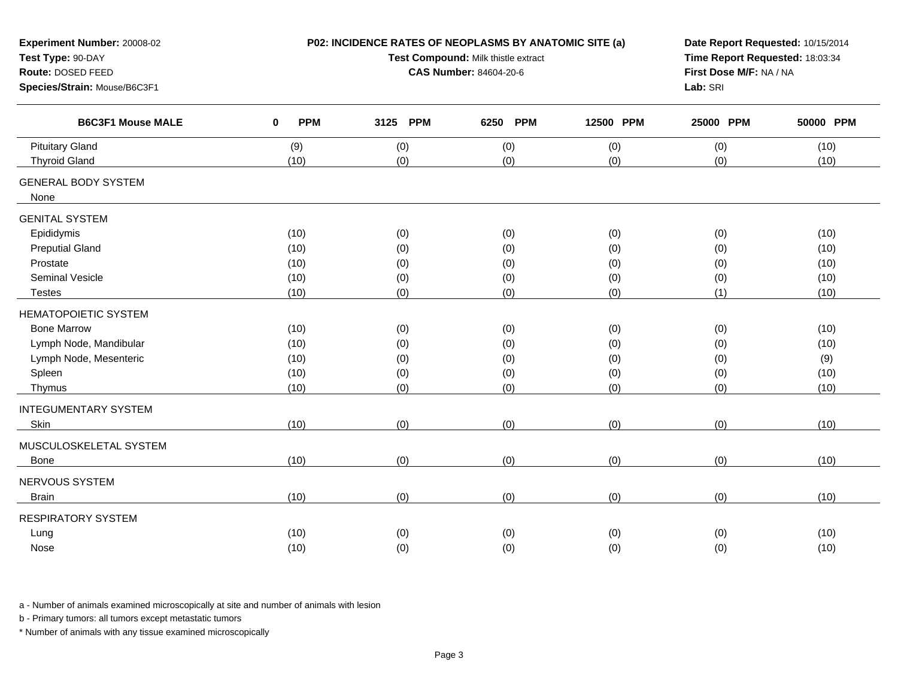| Experiment Number: 20008-02<br>Test Type: 90-DAY<br>Route: DOSED FEED<br>Species/Strain: Mouse/B6C3F1 |                            | P02: INCIDENCE RATES OF NEOPLASMS BY ANATOMIC SITE (a)<br>Test Compound: Milk thistle extract<br><b>CAS Number: 84604-20-6</b> | Date Report Requested: 10/15/2014<br>Time Report Requested: 18:03:34<br>First Dose M/F: NA / NA<br>Lab: SRI |            |            |           |  |
|-------------------------------------------------------------------------------------------------------|----------------------------|--------------------------------------------------------------------------------------------------------------------------------|-------------------------------------------------------------------------------------------------------------|------------|------------|-----------|--|
| <b>B6C3F1 Mouse MALE</b>                                                                              | <b>PPM</b><br>$\mathbf{0}$ | 3125 PPM                                                                                                                       | <b>PPM</b><br>6250                                                                                          | 12500 PPM  | 25000 PPM  | 50000 PPM |  |
| <b>Pituitary Gland</b>                                                                                | (9)                        | (0)<br>(0)                                                                                                                     | (0)                                                                                                         | (0)<br>(0) | (0)<br>(0) | (10)      |  |
| <b>Thyroid Gland</b>                                                                                  | (10)                       |                                                                                                                                | (0)                                                                                                         |            |            | (10)      |  |
| <b>GENERAL BODY SYSTEM</b><br>None                                                                    |                            |                                                                                                                                |                                                                                                             |            |            |           |  |
| <b>GENITAL SYSTEM</b>                                                                                 |                            |                                                                                                                                |                                                                                                             |            |            |           |  |
| Epididymis                                                                                            | (10)                       | (0)                                                                                                                            | (0)                                                                                                         | (0)        | (0)        | (10)      |  |
| <b>Preputial Gland</b>                                                                                | (10)                       | (0)                                                                                                                            | (0)                                                                                                         | (0)        | (0)        | (10)      |  |
| Prostate                                                                                              | (10)                       | (0)                                                                                                                            | (0)                                                                                                         | (0)        | (0)        | (10)      |  |
| Seminal Vesicle                                                                                       | (10)                       | (0)                                                                                                                            | (0)                                                                                                         | (0)        |            | (10)      |  |
| <b>Testes</b>                                                                                         | (10)                       | (0)                                                                                                                            | (0)                                                                                                         | (0)        | (1)        | (10)      |  |
| <b>HEMATOPOIETIC SYSTEM</b>                                                                           |                            |                                                                                                                                |                                                                                                             |            |            |           |  |
| <b>Bone Marrow</b>                                                                                    | (10)                       | (0)                                                                                                                            | (0)                                                                                                         | (0)        | (0)        | (10)      |  |
| Lymph Node, Mandibular                                                                                | (10)                       | (0)                                                                                                                            | (0)                                                                                                         | (0)        | (0)        | (10)      |  |
| Lymph Node, Mesenteric                                                                                | (10)                       | (0)                                                                                                                            | (0)                                                                                                         | (0)        | (0)        | (9)       |  |
| Spleen                                                                                                | (10)                       | (0)                                                                                                                            | (0)                                                                                                         | (0)        | (0)        | (10)      |  |
| Thymus                                                                                                | (10)                       | (0)                                                                                                                            | (0)                                                                                                         | (0)        | (0)        | (10)      |  |
| <b>INTEGUMENTARY SYSTEM</b>                                                                           |                            |                                                                                                                                |                                                                                                             |            |            |           |  |
| Skin                                                                                                  | (10)                       | (0)                                                                                                                            | (0)                                                                                                         | (0)        | (0)        | (10)      |  |
| MUSCULOSKELETAL SYSTEM                                                                                |                            |                                                                                                                                |                                                                                                             |            |            |           |  |
| Bone                                                                                                  | (10)                       | (0)                                                                                                                            | (0)                                                                                                         | (0)        | (0)        | (10)      |  |
| NERVOUS SYSTEM                                                                                        |                            |                                                                                                                                |                                                                                                             |            |            |           |  |
| <b>Brain</b>                                                                                          | (10)                       | (0)                                                                                                                            | (0)                                                                                                         | (0)        | (0)        | (10)      |  |
| <b>RESPIRATORY SYSTEM</b>                                                                             |                            |                                                                                                                                |                                                                                                             |            |            |           |  |
| Lung                                                                                                  | (10)                       | (0)                                                                                                                            | (0)                                                                                                         | (0)        | (0)        | (10)      |  |
| Nose                                                                                                  | (10)                       | (0)                                                                                                                            | (0)                                                                                                         | (0)        | (0)        | (10)      |  |
|                                                                                                       |                            |                                                                                                                                |                                                                                                             |            |            |           |  |

b - Primary tumors: all tumors except metastatic tumors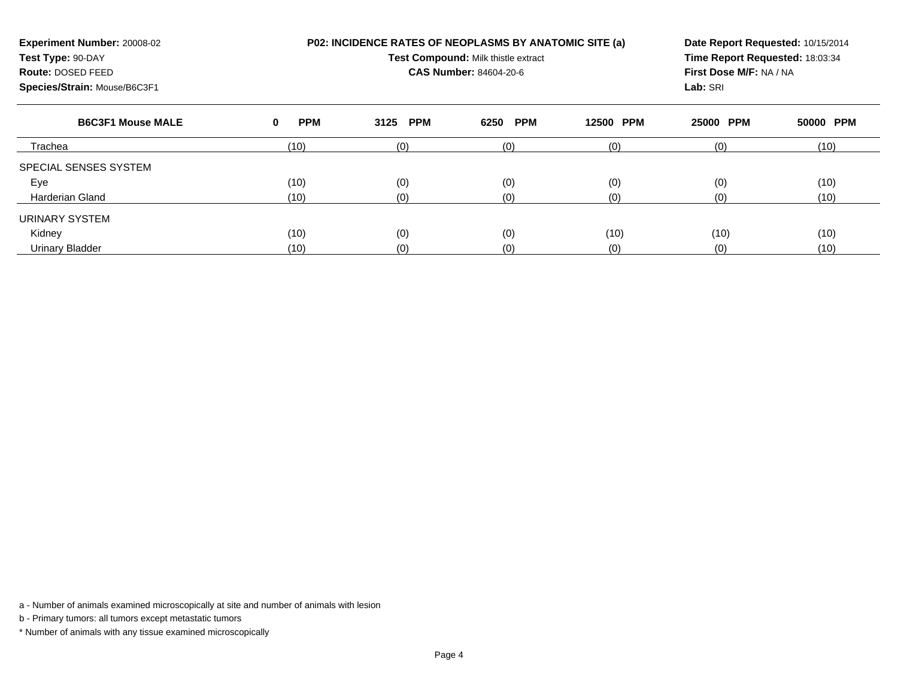| Experiment Number: 20008-02<br>Test Type: 90-DAY<br>Route: DOSED FEED<br>Species/Strain: Mouse/B6C3F1 |                 | P02: INCIDENCE RATES OF NEOPLASMS BY ANATOMIC SITE (a)<br>Test Compound: Milk thistle extract<br><b>CAS Number: 84604-20-6</b> | Date Report Requested: 10/15/2014<br>Time Report Requested: 18:03:34<br>First Dose M/F: NA / NA<br>Lab: SRI |                     |           |           |
|-------------------------------------------------------------------------------------------------------|-----------------|--------------------------------------------------------------------------------------------------------------------------------|-------------------------------------------------------------------------------------------------------------|---------------------|-----------|-----------|
| <b>B6C3F1 Mouse MALE</b>                                                                              | <b>PPM</b><br>0 | <b>PPM</b><br>3125                                                                                                             | <b>PPM</b><br>6250                                                                                          | <b>PPM</b><br>12500 | 25000 PPM | 50000 PPM |
| Trachea                                                                                               | (10)            | (0)                                                                                                                            | (0)                                                                                                         | (0)                 | (0)       | (10)      |
| SPECIAL SENSES SYSTEM                                                                                 |                 |                                                                                                                                |                                                                                                             |                     |           |           |
| Eye                                                                                                   | (10)            | (0)                                                                                                                            | (0)                                                                                                         | (0)                 | (0)       | (10)      |
| <b>Harderian Gland</b>                                                                                | (10)            | (0)                                                                                                                            | (0)<br>(0)                                                                                                  |                     | (0)       | (10)      |
| URINARY SYSTEM                                                                                        |                 |                                                                                                                                |                                                                                                             |                     |           |           |
| Kidney                                                                                                | (10)            | (0)                                                                                                                            | (0)<br>(10)                                                                                                 |                     | (10)      | (10)      |
| <b>Urinary Bladder</b>                                                                                | (10)            | (0)                                                                                                                            | (0)                                                                                                         | (0)                 | (0)       | (10)      |

b - Primary tumors: all tumors except metastatic tumors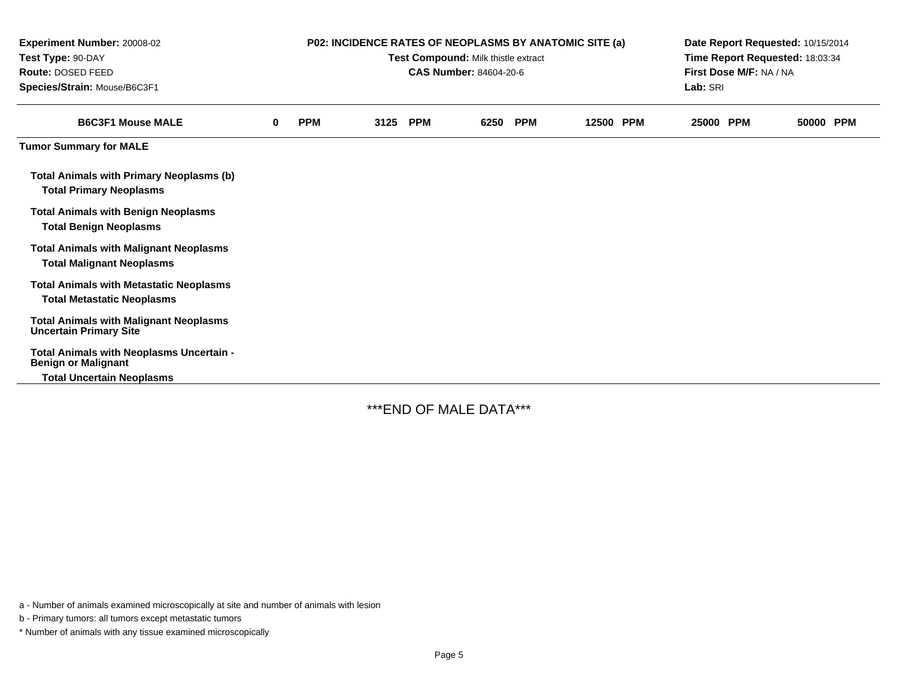| Experiment Number: 20008-02<br>Test Type: 90-DAY<br>Route: DOSED FEED<br>Species/Strain: Mouse/B6C3F1 | <b>P02: INCIDENCE RATES OF NEOPLASMS BY ANATOMIC SITE (a)</b><br>Test Compound: Milk thistle extract<br><b>CAS Number: 84604-20-6</b> |            |      |            |      | Date Report Requested: 10/15/2014<br>Time Report Requested: 18:03:34<br>First Dose M/F: NA / NA<br>Lab: SRI |           |  |           |  |           |  |
|-------------------------------------------------------------------------------------------------------|---------------------------------------------------------------------------------------------------------------------------------------|------------|------|------------|------|-------------------------------------------------------------------------------------------------------------|-----------|--|-----------|--|-----------|--|
| <b>B6C3F1 Mouse MALE</b>                                                                              | $\bf{0}$                                                                                                                              | <b>PPM</b> | 3125 | <b>PPM</b> | 6250 | <b>PPM</b>                                                                                                  | 12500 PPM |  | 25000 PPM |  | 50000 PPM |  |
| <b>Tumor Summary for MALE</b>                                                                         |                                                                                                                                       |            |      |            |      |                                                                                                             |           |  |           |  |           |  |
| <b>Total Animals with Primary Neoplasms (b)</b><br><b>Total Primary Neoplasms</b>                     |                                                                                                                                       |            |      |            |      |                                                                                                             |           |  |           |  |           |  |
| <b>Total Animals with Benign Neoplasms</b><br><b>Total Benign Neoplasms</b>                           |                                                                                                                                       |            |      |            |      |                                                                                                             |           |  |           |  |           |  |
| <b>Total Animals with Malignant Neoplasms</b><br><b>Total Malignant Neoplasms</b>                     |                                                                                                                                       |            |      |            |      |                                                                                                             |           |  |           |  |           |  |
| <b>Total Animals with Metastatic Neoplasms</b><br><b>Total Metastatic Neoplasms</b>                   |                                                                                                                                       |            |      |            |      |                                                                                                             |           |  |           |  |           |  |
| <b>Total Animals with Malignant Neoplasms</b><br><b>Uncertain Primary Site</b>                        |                                                                                                                                       |            |      |            |      |                                                                                                             |           |  |           |  |           |  |
| Total Animals with Neoplasms Uncertain -<br><b>Benign or Malignant</b>                                |                                                                                                                                       |            |      |            |      |                                                                                                             |           |  |           |  |           |  |
| <b>Total Uncertain Neoplasms</b>                                                                      |                                                                                                                                       |            |      |            |      |                                                                                                             |           |  |           |  |           |  |

\*\*\*END OF MALE DATA\*\*\*

a - Number of animals examined microscopically at site and number of animals with lesion

b - Primary tumors: all tumors except metastatic tumors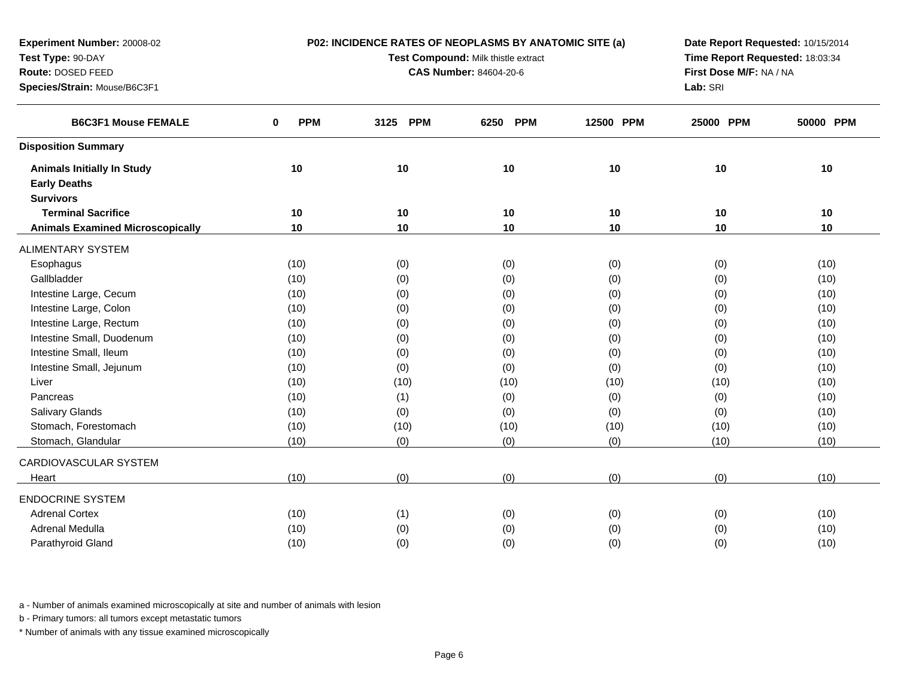| Experiment Number: 20008-02             |                 | P02: INCIDENCE RATES OF NEOPLASMS BY ANATOMIC SITE (a) | Date Report Requested: 10/15/2014 |                         |           |           |  |
|-----------------------------------------|-----------------|--------------------------------------------------------|-----------------------------------|-------------------------|-----------|-----------|--|
| Test Type: 90-DAY                       |                 | Test Compound: Milk thistle extract                    | Time Report Requested: 18:03:34   |                         |           |           |  |
| Route: DOSED FEED                       |                 | <b>CAS Number: 84604-20-6</b>                          |                                   | First Dose M/F: NA / NA |           |           |  |
| Species/Strain: Mouse/B6C3F1            |                 |                                                        |                                   |                         | Lab: SRI  |           |  |
| <b>B6C3F1 Mouse FEMALE</b>              | <b>PPM</b><br>0 | <b>PPM</b><br>3125                                     | 6250<br><b>PPM</b>                | 12500 PPM               | 25000 PPM | 50000 PPM |  |
| <b>Disposition Summary</b>              |                 |                                                        |                                   |                         |           |           |  |
| <b>Animals Initially In Study</b>       | 10              | 10                                                     | 10                                | 10                      | 10        | 10        |  |
| <b>Early Deaths</b>                     |                 |                                                        |                                   |                         |           |           |  |
| <b>Survivors</b>                        |                 |                                                        |                                   |                         |           |           |  |
| <b>Terminal Sacrifice</b>               | 10              | 10                                                     | 10                                | 10                      | 10        | 10        |  |
| <b>Animals Examined Microscopically</b> | 10              | 10                                                     | 10                                | 10                      | 10        | 10        |  |
| <b>ALIMENTARY SYSTEM</b>                |                 |                                                        |                                   |                         |           |           |  |
| Esophagus                               | (10)            | (0)                                                    | (0)                               | (0)                     | (0)       | (10)      |  |
| Gallbladder                             | (10)            | (0)                                                    | (0)                               | (0)                     | (0)       | (10)      |  |
| Intestine Large, Cecum                  | (10)            | (0)                                                    | (0)                               | (0)                     | (0)       | (10)      |  |
| Intestine Large, Colon                  | (10)            | (0)                                                    | (0)                               | (0)                     | (0)       | (10)      |  |
| Intestine Large, Rectum                 | (10)            | (0)                                                    | (0)                               | (0)                     | (0)       | (10)      |  |
| Intestine Small, Duodenum               | (10)            | (0)                                                    | (0)                               | (0)                     | (0)       | (10)      |  |
| Intestine Small, Ileum                  | (10)            | (0)                                                    | (0)                               | (0)                     | (0)       | (10)      |  |
| Intestine Small, Jejunum                | (10)            | (0)                                                    | (0)                               | (0)                     | (0)       | (10)      |  |
| Liver                                   | (10)            | (10)                                                   | (10)                              | (10)                    | (10)      | (10)      |  |
| Pancreas                                | (10)            | (1)                                                    | (0)                               | (0)                     | (0)       | (10)      |  |
| <b>Salivary Glands</b>                  | (10)            | (0)                                                    | (0)                               | (0)                     | (0)       | (10)      |  |
| Stomach, Forestomach                    | (10)            | (10)                                                   | (10)                              | (10)                    | (10)      | (10)      |  |
| Stomach, Glandular                      | (10)            | (0)                                                    | (0)                               | (0)                     | (10)      | (10)      |  |
| CARDIOVASCULAR SYSTEM                   |                 |                                                        |                                   |                         |           |           |  |
| Heart                                   | (10)            | (0)                                                    | (0)                               | (0)                     | (0)       | (10)      |  |
| <b>ENDOCRINE SYSTEM</b>                 |                 |                                                        |                                   |                         |           |           |  |
| <b>Adrenal Cortex</b>                   | (10)            | (1)                                                    | (0)                               | (0)                     | (0)       | (10)      |  |
| Adrenal Medulla                         | (10)            | (0)                                                    | (0)                               | (0)                     | (0)       | (10)      |  |
| Parathyroid Gland                       | (10)            | (0)                                                    | (0)                               | (0)                     | (0)       | (10)      |  |
|                                         |                 |                                                        |                                   |                         |           |           |  |

b - Primary tumors: all tumors except metastatic tumors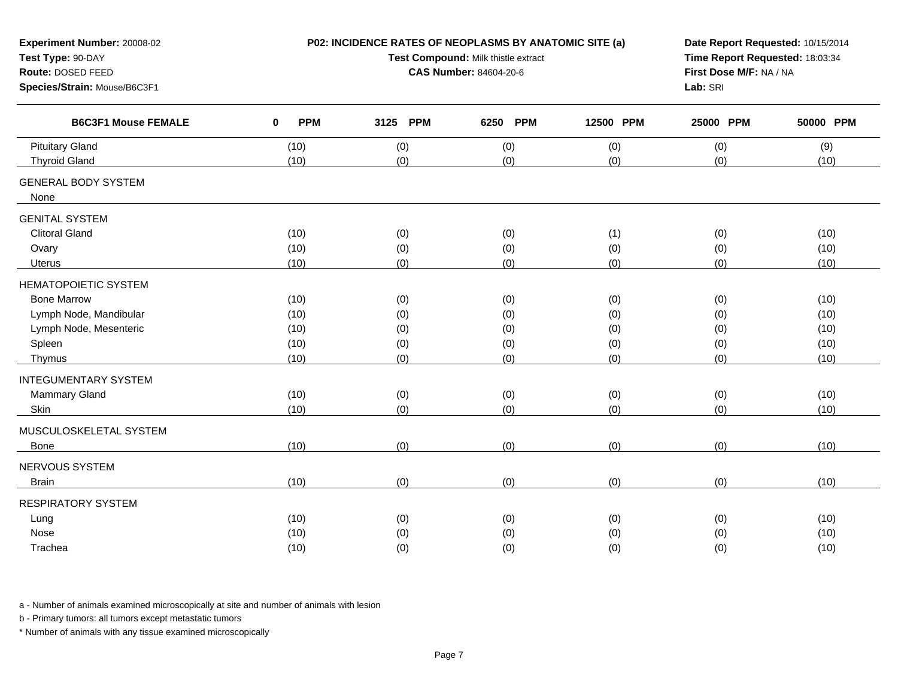| Experiment Number: 20008-02<br>Test Type: 90-DAY<br>Route: DOSED FEED<br>Species/Strain: Mouse/B6C3F1                     |                                      | P02: INCIDENCE RATES OF NEOPLASMS BY ANATOMIC SITE (a)<br>Test Compound: Milk thistle extract<br><b>CAS Number: 84604-20-6</b> | Date Report Requested: 10/15/2014<br>Time Report Requested: 18:03:34<br>First Dose M/F: NA / NA<br>Lab: SRI |                                 |                                 |                                      |
|---------------------------------------------------------------------------------------------------------------------------|--------------------------------------|--------------------------------------------------------------------------------------------------------------------------------|-------------------------------------------------------------------------------------------------------------|---------------------------------|---------------------------------|--------------------------------------|
| <b>B6C3F1 Mouse FEMALE</b>                                                                                                | $\bf{0}$<br><b>PPM</b>               | 3125 PPM                                                                                                                       | <b>PPM</b><br>6250                                                                                          | 12500 PPM                       | 25000 PPM                       | 50000 PPM                            |
| <b>Pituitary Gland</b><br><b>Thyroid Gland</b>                                                                            | (10)<br>(10)                         | (0)<br>(0)                                                                                                                     | (0)<br>(0)                                                                                                  | (0)<br>(0)                      | (0)<br>(0)                      | (9)<br>(10)                          |
| <b>GENERAL BODY SYSTEM</b><br>None                                                                                        |                                      |                                                                                                                                |                                                                                                             |                                 |                                 |                                      |
| <b>GENITAL SYSTEM</b><br><b>Clitoral Gland</b><br>Ovary<br><b>Uterus</b>                                                  | (10)<br>(10)<br>(10)                 |                                                                                                                                | (0)<br>(1)<br>(0)<br>(0)<br>(0)<br>(0)                                                                      |                                 | (0)<br>(0)<br>(0)               | (10)<br>(10)<br>(10)                 |
| <b>HEMATOPOIETIC SYSTEM</b><br><b>Bone Marrow</b><br>Lymph Node, Mandibular<br>Lymph Node, Mesenteric<br>Spleen<br>Thymus | (10)<br>(10)<br>(10)<br>(10)<br>(10) | (0)<br>(0)<br>(0)<br>(0)<br>(0)                                                                                                | (0)<br>(0)<br>(0)<br>(0)<br>(0)                                                                             | (0)<br>(0)<br>(0)<br>(0)<br>(0) | (0)<br>(0)<br>(0)<br>(0)<br>(0) | (10)<br>(10)<br>(10)<br>(10)<br>(10) |
| <b>INTEGUMENTARY SYSTEM</b><br>Mammary Gland<br>Skin                                                                      | (10)<br>(10)                         | (0)<br>(0)                                                                                                                     | (0)<br>(0)                                                                                                  | (0)<br>(0)                      | (0)<br>(0)                      | (10)<br>(10)                         |
| MUSCULOSKELETAL SYSTEM<br>Bone<br>NERVOUS SYSTEM<br><b>Brain</b>                                                          | (10)<br>(10)                         | (0)<br>(0)                                                                                                                     | (0)<br>(0)                                                                                                  | (0)<br>(0)                      | (0)<br>(0)                      | (10)<br>(10)                         |
| <b>RESPIRATORY SYSTEM</b><br>Lung<br>Nose<br>Trachea                                                                      | (10)<br>(10)<br>(10)                 | (0)<br>(0)<br>(0)                                                                                                              | (0)<br>(0)<br>(0)                                                                                           | (0)<br>(0)<br>(0)               | (0)<br>(0)<br>(0)               | (10)<br>(10)<br>(10)                 |

b - Primary tumors: all tumors except metastatic tumors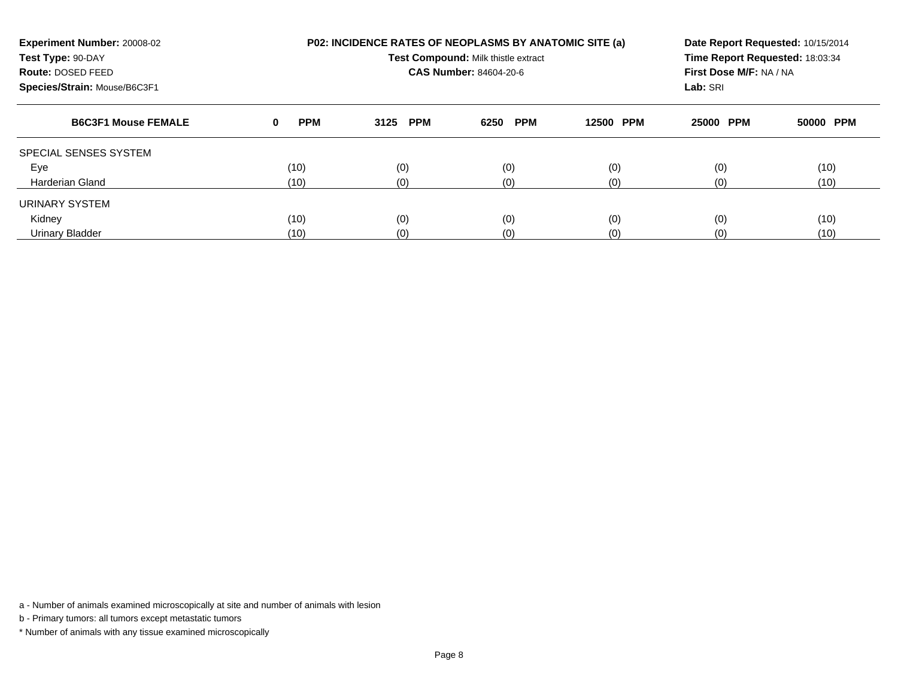| Experiment Number: 20008-02<br>Test Type: 90-DAY<br>Route: DOSED FEED<br>Species/Strain: Mouse/B6C3F1 |                 | <b>P02: INCIDENCE RATES OF NEOPLASMS BY ANATOMIC SITE (a)</b><br>Test Compound: Milk thistle extract<br>CAS Number: 84604-20-6 | Date Report Requested: 10/15/2014<br>Time Report Requested: 18:03:34<br>First Dose M/F: NA / NA<br>Lab: SRI |                     |           |           |
|-------------------------------------------------------------------------------------------------------|-----------------|--------------------------------------------------------------------------------------------------------------------------------|-------------------------------------------------------------------------------------------------------------|---------------------|-----------|-----------|
| <b>B6C3F1 Mouse FEMALE</b>                                                                            | <b>PPM</b><br>0 | <b>PPM</b><br>3125                                                                                                             | <b>PPM</b><br>6250                                                                                          | 12500<br><b>PPM</b> | 25000 PPM | 50000 PPM |
| SPECIAL SENSES SYSTEM                                                                                 |                 |                                                                                                                                |                                                                                                             |                     |           |           |
| Eye                                                                                                   | (10)            | (0)                                                                                                                            | (0)                                                                                                         | (0)                 | (0)       | (10)      |
| <b>Harderian Gland</b>                                                                                | (10)            | (0)                                                                                                                            | (0)                                                                                                         | (0)                 | (0)       | (10)      |
| URINARY SYSTEM                                                                                        |                 |                                                                                                                                |                                                                                                             |                     |           |           |
| Kidney                                                                                                | (10)            | (0)                                                                                                                            | (0)                                                                                                         | (0)                 | (0)       | (10)      |
| Urinary Bladder                                                                                       | (10)            | (0)                                                                                                                            | (0)                                                                                                         | (10)                |           |           |

b - Primary tumors: all tumors except metastatic tumors